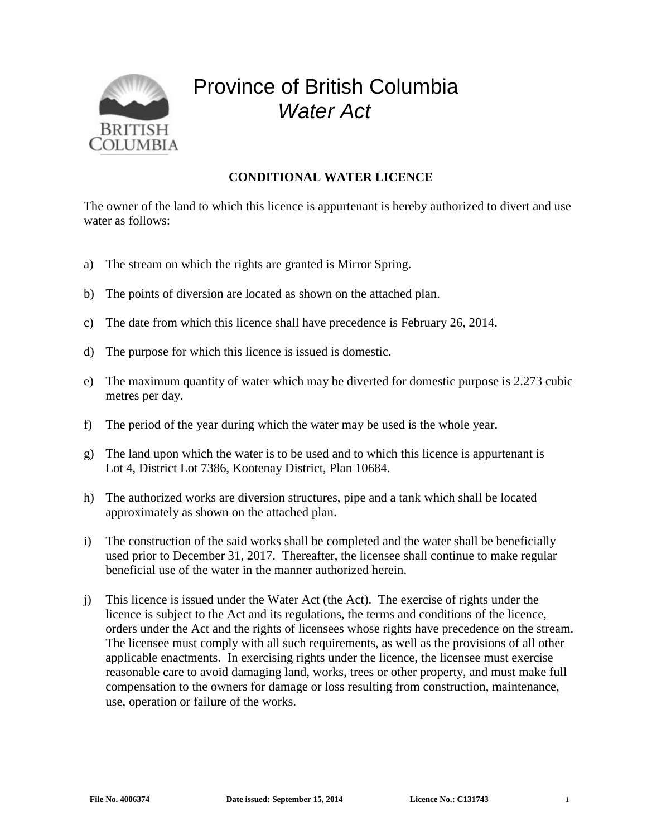

## Province of British Columbia *Water Act*

## **CONDITIONAL WATER LICENCE**

The owner of the land to which this licence is appurtenant is hereby authorized to divert and use water as follows:

- a) The stream on which the rights are granted is Mirror Spring.
- b) The points of diversion are located as shown on the attached plan.
- c) The date from which this licence shall have precedence is February 26, 2014.
- d) The purpose for which this licence is issued is domestic.
- e) The maximum quantity of water which may be diverted for domestic purpose is 2.273 cubic metres per day.
- f) The period of the year during which the water may be used is the whole year.
- g) The land upon which the water is to be used and to which this licence is appurtenant is Lot 4, District Lot 7386, Kootenay District, Plan 10684.
- h) The authorized works are diversion structures, pipe and a tank which shall be located approximately as shown on the attached plan.
- i) The construction of the said works shall be completed and the water shall be beneficially used prior to December 31, 2017. Thereafter, the licensee shall continue to make regular beneficial use of the water in the manner authorized herein.
- j) This licence is issued under the Water Act (the Act). The exercise of rights under the licence is subject to the Act and its regulations, the terms and conditions of the licence, orders under the Act and the rights of licensees whose rights have precedence on the stream. The licensee must comply with all such requirements, as well as the provisions of all other applicable enactments. In exercising rights under the licence, the licensee must exercise reasonable care to avoid damaging land, works, trees or other property, and must make full compensation to the owners for damage or loss resulting from construction, maintenance, use, operation or failure of the works.